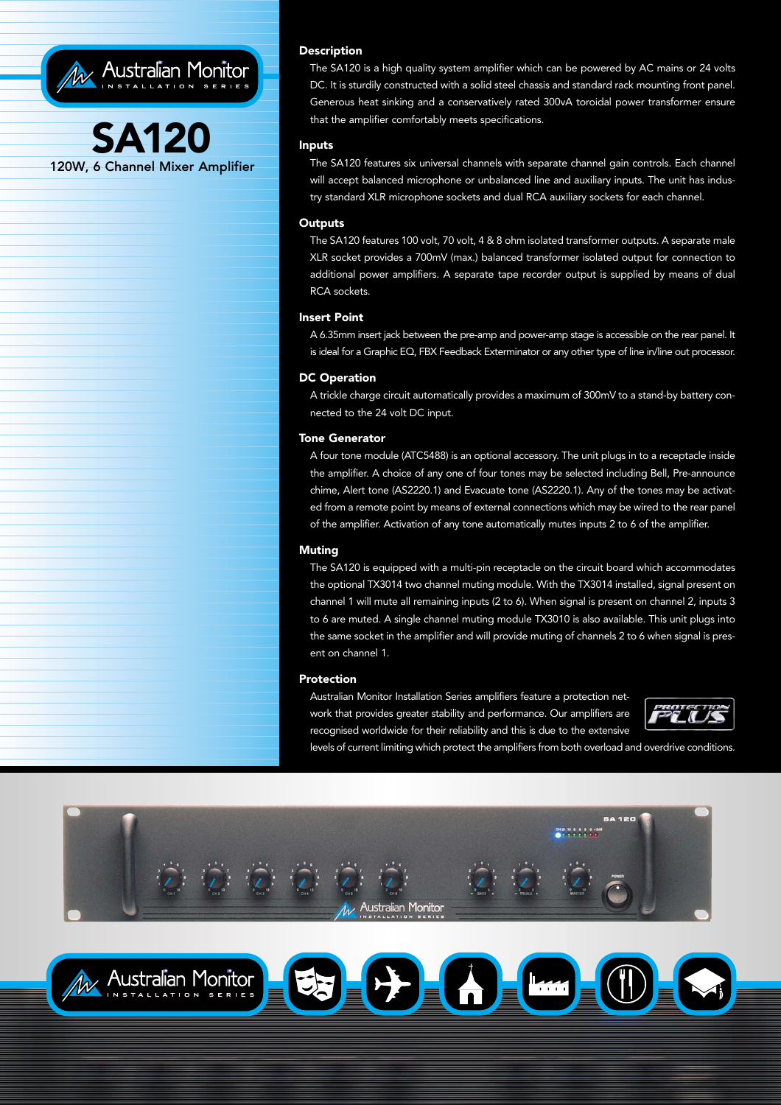



The SA120 is a high quality system amplifier which can be powered by AC mains or 24 volts DC. It is sturdily constructed with a solid steel chassis and standard rack mounting front panel. Generous heat sinking and a conservatively rated 300vA toroidal power transformer ensure that the amplifier comfortably meets specifications.

## Inputs

The SA120 features six universal channels with separate channel gain controls. Each channel will accept balanced microphone or unbalanced line and auxiliary inputs. The unit has industry standard XLR microphone sockets and dual RCA auxiliary sockets for each channel.

## **Outputs**

The SA120 features 100 volt, 70 volt, 4 & 8 ohm isolated transformer outputs. A separate male XLR socket provides a 700mV (max.) balanced transformer isolated output for connection to additional power amplifiers. A separate tape recorder output is supplied by means of dual RCA sockets.

### Insert Point

A 6.35mm insert jack between the pre-amp and power-amp stage is accessible on the rear panel. It is ideal for a Graphic EQ, FBX Feedback Exterminator or any other type of line in/line out processor.

## DC Operation

A trickle charge circuit automatically provides a maximum of 300mV to a stand-by battery connected to the 24 volt DC input.

### Tone Generator

A four tone module (ATC5488) is an optional accessory. The unit plugs in to a receptacle inside the amplifier. A choice of any one of four tones may be selected including Bell, Pre-announce chime, Alert tone (AS2220.1) and Evacuate tone (AS2220.1). Any of the tones may be activated from a remote point by means of external connections which may be wired to the rear panel of the amplifier. Activation of any tone automatically mutes inputs 2 to 6 of the amplifier.

#### Muting

The SA120 is equipped with a multi-pin receptacle on the circuit board which accommodates the optional TX3014 two channel muting module. With the TX3014 installed, signal present on channel 1 will mute all remaining inputs (2 to 6). When signal is present on channel 2, inputs 3 to 6 are muted. A single channel muting module TX3010 is also available. This unit plugs into the same socket in the amplifier and will provide muting of channels 2 to 6 when signal is present on channel 1.

#### Protection

Australian Monitor Installation Series amplifiers feature a protection network that provides greater stability and performance. Our amplifiers are recognised worldwide for their reliability and this is due to the extensive



levels of current limiting which protect the amplifiers from both overload and overdrive conditions.